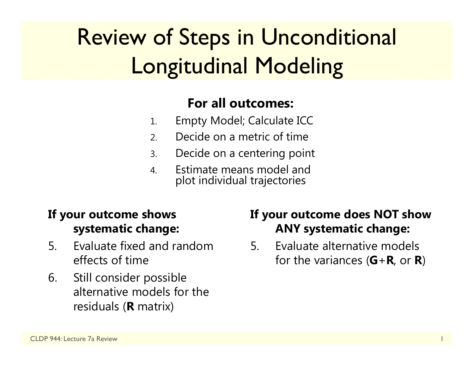# Review of Steps in Unconditional Longitudinal Modeling

#### **For all outcomes:**

- 1.Empty Model; Calculate ICC
- 2.Decide on a metric of time
- 3.Decide on a centering point
- 4. Estimate means model andplot individual trajectories

#### **If your outcome shows systematic change:**

- 5. Evaluate fixed and random effects of time
- 6. Still consider possible alternative models for the residuals ( **R** matrix)

#### **If your outcome does NOT show ANY systematic change:**

5. Evaluate alternative models for the variances ( **G** + **R**, or **R**)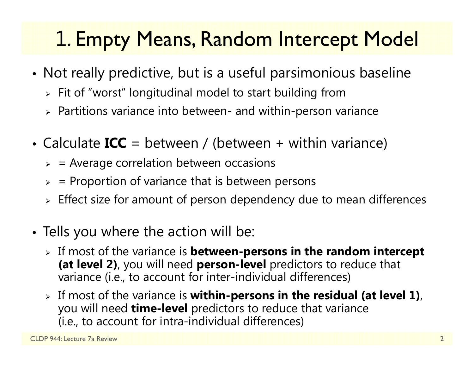### 1. Empty Means, Random Intercept Model

- • Not really predictive, but is a useful parsimonious baseline
	- $\triangleright\;$  Fit of "worst" longitudinal model to start building from
	- $\triangleright$  Partitions variance into between- and within-person variance
- Calculate **ICC** = between / (between + within variance)
	- $>$  = Average correlation between occasions
	- $\triangleright$  = Proportion of variance that is between persons
	- $\triangleright$  Effect size for amount of person dependency due to mean differences
- Tells you where the action will be:
	- If most of the variance is **between-persons in the random intercept (at level 2)**, you will need **person-level** predictors to reduce that variance (i.e., to account for inter-individual differences)
	- If most of the variance is **within-persons in the residual (at level 1)**, you will need **time-level** predictors to reduce that variance (i.e., to account for intra-individual differences)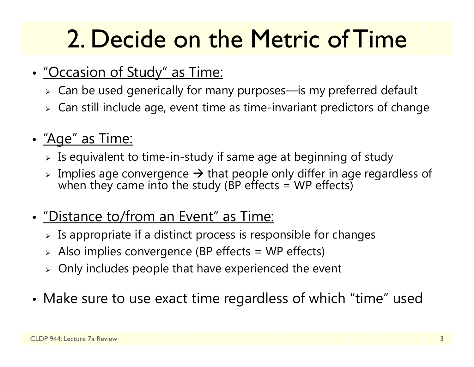# 2. Decide on the Metric of Time

- • "Occasion of Study" as Time:
	- $\triangleright\,$  Can be used generically for many purposes—is my preferred default
	- $\triangleright\;$  Can still include age, event time as time-invariant predictors of change
- "Age" as Time:
	- $\triangleright$  Is equivalent to time-in-study if same age at beginning of study
	- $\triangleright$  Implies age convergence  $\rightarrow$  that people only differ in age regardless of when they came into the study (BP effects = WP effects)
- "Distance to/from an Event" as Time:
	- $\triangleright$  Is appropriate if a distinct process is responsible for changes
	- $\triangleright$  Also implies convergence (BP effects = WP effects)
	- $\triangleright$  Only includes people that have experienced the event
- •Make sure to use exact time regardless of which "time" used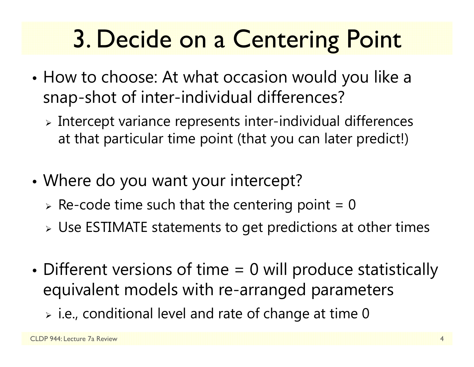# 3. Decide on a Centering Point

- • How to choose: At what occasion would you like a snap-shot of inter-individual differences?
	- $\triangleright$  Intercept variance represents inter-individual differences at that particular time point (that you can later predict!)
- • Where do you want your intercept?
	- $\triangleright$  Re-code time such that the centering point = 0
	- $\triangleright$  Use ESTIMATE statements to get predictions at other times
- • Different versions of time = 0 will produce statistically equivalent models with re-arranged parameters
	- $\triangleright$  i.e., conditional level and rate of change at time 0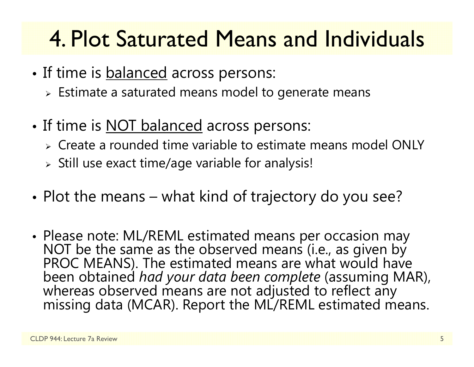### 4. Plot Saturated Means and Individuals

- •• If time is <u>balanced</u> across persons:
	- $\triangleright$  Estimate a saturated means model to generate means
- •• If time is <u>NOT balanced</u> across persons:
	- Create a rounded time variable to estimate means model ONLY
	- $\triangleright$  Still use exact time/age variable for analysis!
- • $\bullet$  Plot the means – what kind of trajectory do you see?
- Please note: ML/REML estimated means per occasion may NOT be the same as the observed means (i.e., as given by PROC MEANS). The estimated means are what would have been obtained had your data been complete (assuming MAR), whereas observed means are not adjusted to reflect any missing data (MCAR). Report the ML/REML estimated means.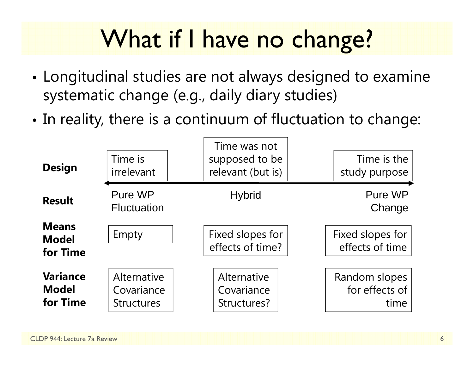# What if I have no change?

- • Longitudinal studies are not always designed to examine systematic change (e.g., daily diary studies)
- • $\bullet$  In reality, there is a continuum of fluctuation to change:

| <b>Design</b>                               | Time is<br>irrelevant                          | Time was not<br>supposed to be<br>relevant (but is) | Time is the<br>study purpose            |
|---------------------------------------------|------------------------------------------------|-----------------------------------------------------|-----------------------------------------|
| <b>Result</b>                               | Pure WP<br><b>Fluctuation</b>                  | <b>Hybrid</b>                                       | Pure WP<br>Change                       |
| <b>Means</b><br><b>Model</b><br>for Time    | Empty                                          | Fixed slopes for<br>effects of time?                | Fixed slopes for<br>effects of time     |
| <b>Variance</b><br><b>Model</b><br>for Time | Alternative<br>Covariance<br><b>Structures</b> | Alternative<br>Covariance<br>Structures?            | Random slopes<br>for effects of<br>time |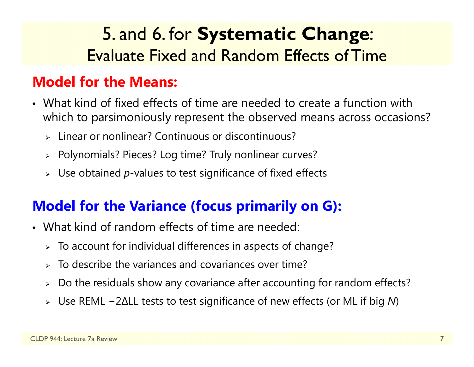### 5. and 6. for **Systematic Change**: Evaluate Fixed and Random Effects of Time

#### **Model for the Means:**

- What kind of fixed effects of time are needed to create a function with which to parsimoniously represent the observed means across occasions?
	- Linear or nonlinear? Continuous or discontinuous?
	- Polynomials? Pieces? Log time? Truly nonlinear curves?
	- Use obtained *p*-values to test significance of fixed effects

#### **Model for the Variance (focus primarily on G):**

- What kind of random effects of time are needed:
	- $\triangleright$  To account for individual differences in aspects of change?
	- $\triangleright$  To describe the variances and covariances over time?
	- $\blacktriangleright$ Do the residuals show any covariance after accounting for random effects?
	- Use REML −2∆LL tests to test significance of new effects (or ML if big *N*)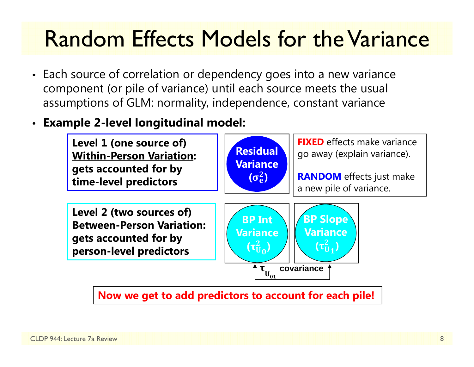### Random Effects Models for the Variance

- Each source of correlation or dependency goes into a new variance component (or pile of variance) until each source meets the usual assumptions of GLM: normality, independence, constant variance
- •**Example 2-level longitudinal model:**



**Now we get to add predictors to account for each pile!**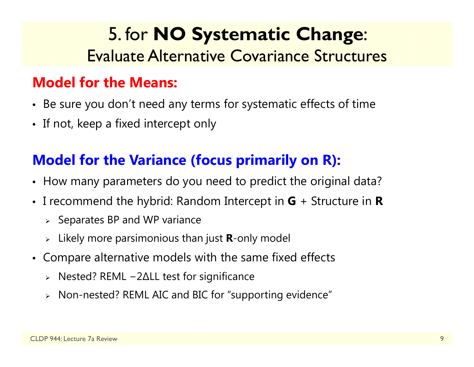### 5. for **NO Systematic Change**: Evaluate Alternative Covariance Structures

#### **Model for the Means:**

- Be sure you don't need any terms for systematic effects of time
- If not, keep a fixed intercept only

#### **Model for the Variance (focus primarily on R):**

- How many parameters do you need to predict the original data?
- I recommend the hybrid: Random Intercept in **G** + Structure in **R**
	- $\triangleright$  Separates BP and WP variance
	- Likely more parsimonious than just **R**-only model
- Compare alternative models with the same fixed effects
	- Nested? REML −2∆LL test for significance
	- Non-nested? REML AIC and BIC for "supporting evidence"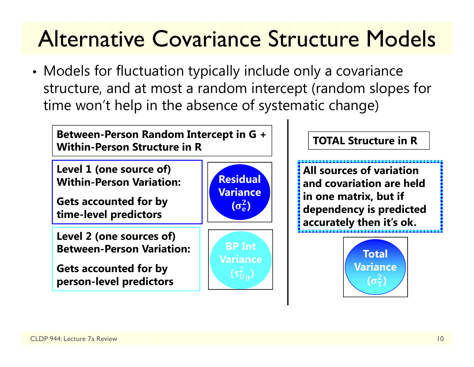## Alternative Covariance Structure Models

• Models for fluctuation typically include only a covariance structure, and at most a random intercept (random slopes for time won't help in the absence of systematic change)

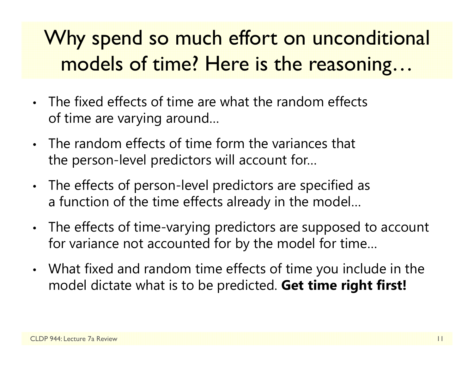### Why spend so much effort on unconditional models of time? Here is the reasoning…

- • The fixed effects of time are what the random effects of time are varying around…
- The random effects of time form the variances that the person-level predictors will account for…
- • The effects of person-level predictors are specified as a function of the time effects already in the model…
- • The effects of time-varying predictors are supposed to account for variance not accounted for by the model for time…
- • What fixed and random time effects of time you include in the model dictate what is to be predicted. **Get time right first!**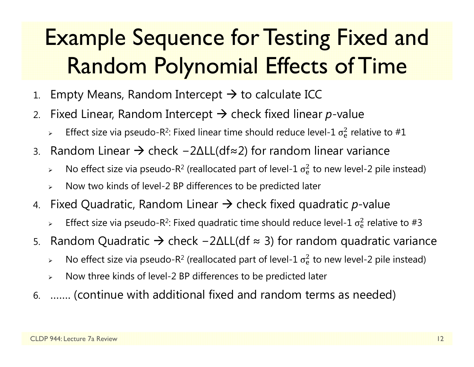## Example Sequence for Testing Fixed and Random Polynomial Effects of Time

- 1.. Empty Means, Random Intercept  $\bm{\rightarrow}$  to calculate ICC
- 2.. Fixed Linear, Random Intercept  $\bm{\rightarrow}$  check fixed linear  $p$ -value
	- $\blacktriangleright$  $\triangleright$  Effect size via pseudo-R<sup>2</sup>: Fixed linear time should reduce level-1  $\sigma_{\rm e}^2$  $^{2}_{6}$  relative to #1
- 3.. Random Linear → check –2∆LL(df≈2) for random linear variance
	- $\blacktriangleright$  $\triangleright$  No effect size via pseudo-R<sup>2</sup> (reallocated part of level-1  $\sigma_{\rm e}^2$  $\frac{2}{e}$  to new level-2 pile instead)
	- $\blacktriangleright$ Now two kinds of level-2 BP differences to be predicted later
- 4. Fixed Quadratic, Random Linear → check fixed quadratic *p*-value
	- $\blacktriangleright$  $\triangleright$  Effect size via pseudo-R<sup>2</sup>: Fixed quadratic time should reduce level-1  $\sigma_{\rm e}^2$  $^{2}_{6}$  relative to #3
- 5.. Random Quadratic → check –2∆LL(df ≈ 3) for random quadratic variance
	- $\blacktriangleright$  $\triangleright$  No effect size via pseudo-R<sup>2</sup> (reallocated part of level-1  $\sigma_{\rm e}^2$  $\frac{2}{\text{e}}$  to new level-2 pile instead)
	- $\blacktriangleright$ Now three kinds of level-2 BP differences to be predicted later
- 6. ……. (continue with additional fixed and random terms as needed)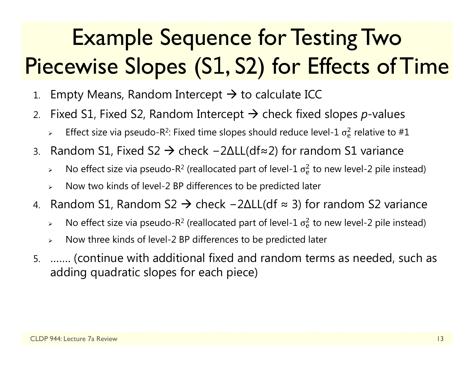# Example Sequence for Testing Two Piecewise Slopes (S 1, S2) for Effects of Time

- 1.. Empty Means, Random Intercept  $\bm{\rightarrow}$  to calculate ICC
- 2.. Fixed S1, Fixed S2, Random Intercept → check fixed slopes *p*-values
	- $\blacktriangleright$  $\triangleright$  Effect size via pseudo-R<sup>2</sup>: Fixed time slopes should reduce level-1  $\sigma_{\rm e}^2$  $^{2}_{6}$  relative to #1
- 3. $\ldots$  Random S1, Fixed S2  $\rightarrow$  check −2ΔLL(df≈2) for random S1 variance
	- $\blacktriangleright$  $\triangleright$  No effect size via pseudo-R<sup>2</sup> (reallocated part of level-1  $\sigma_{\rm e}^2$  $\frac{2}{e}$  to new level-2 pile instead)
	- $\blacktriangleright$ Now two kinds of level-2 BP differences to be predicted later
- 4. Random S1, Random S2 → check -2ΔLL(df ≈ 3) for random S2 variance
	- $\blacktriangleright$  $\triangleright$  No effect size via pseudo-R<sup>2</sup> (reallocated part of level-1  $\sigma_{\rm e}^2$  $\frac{2}{e}$  to new level-2 pile instead)
	- $\blacktriangleright$ Now three kinds of level-2 BP differences to be predicted later
- 5. ……. (continue with additional fixed and random terms as needed, such as adding quadratic slopes for each piece)